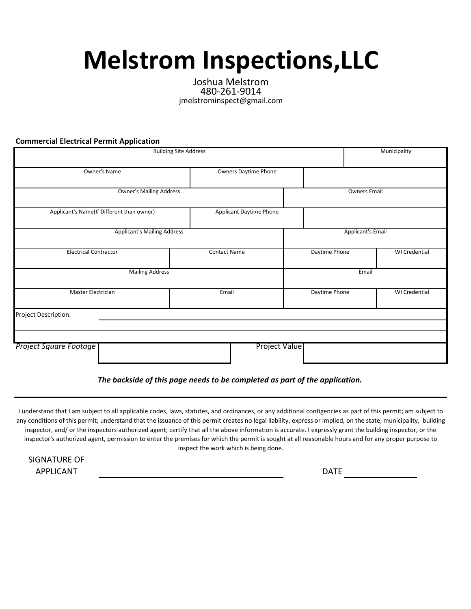## **Melstrom Inspections,LLC**

Joshua Melstrom 480-261-9014 jmelstrominspect@gmail.com

**Commercial Electrical Permit Application**

| <b>Building Site Address</b>       | Municipality                                                                |                          |               |  |                      |  |
|------------------------------------|-----------------------------------------------------------------------------|--------------------------|---------------|--|----------------------|--|
| Owner's Name                       |                                                                             | Owners Daytime Phone     |               |  |                      |  |
|                                    | <b>Owner's Mailing Address</b>                                              |                          |               |  | <b>Owners Email</b>  |  |
|                                    | Applicant's Name(If Different than owner)<br><b>Applicant Daytime Phone</b> |                          |               |  |                      |  |
| <b>Applicant's Mailing Address</b> |                                                                             | <b>Applicant's Email</b> |               |  |                      |  |
| <b>Electrical Contractor</b>       |                                                                             | <b>Contact Name</b>      | Daytime Phone |  | <b>WI</b> Credential |  |
| <b>Mailing Address</b>             | Email                                                                       |                          |               |  |                      |  |
| Master Electrician                 |                                                                             | Email                    | Daytime Phone |  | WI Credential        |  |
| Project Description:               |                                                                             |                          |               |  |                      |  |
|                                    |                                                                             |                          |               |  |                      |  |
| Project Square Footage             |                                                                             | Project Value            |               |  |                      |  |

*The backside of this page needs to be completed as part of the application.*

I understand that I am subject to all applicable codes, laws, statutes, and ordinances, or any additional contigencies as part of this permit; am subject to any conditions of this permit; understand that the issuance of this permit creates no legal liability, express or implied, on the state, municipality, building inspector, and/ or the inspectors authorized agent; certify that all the above information is accurate. I expressly grant the building inspector, or the inspector's authorized agent, permission to enter the premises for which the permit is sought at all reasonable hours and for any proper purpose to inspect the work which is being done.

| SIGNATURE OF |
|--------------|
| APPLICANT    |